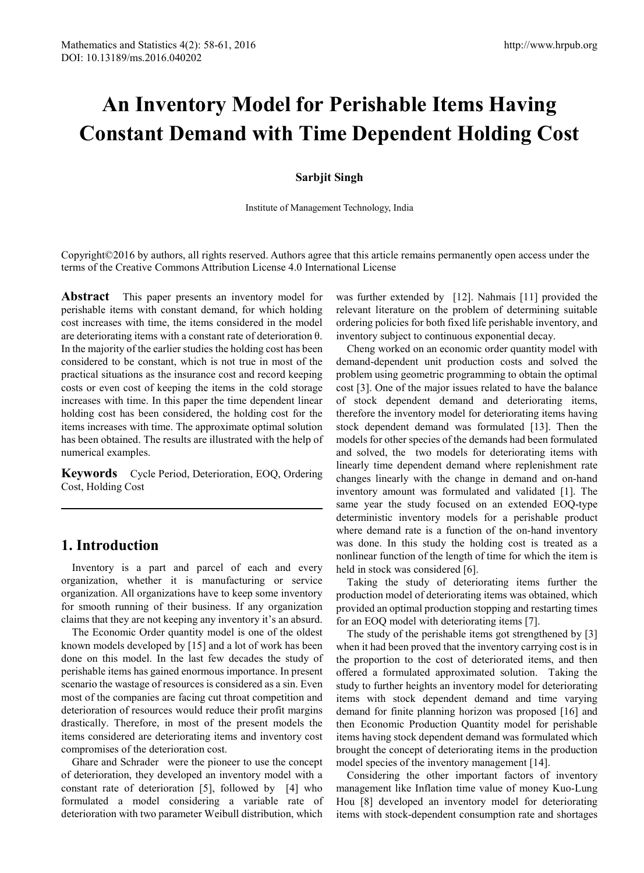# **An Inventory Model for Perishable Items Having Constant Demand with Time Dependent Holding Cost**

#### **Sarbjit Singh**

Institute of Management Technology, India

Copyright©2016 by authors, all rights reserved. Authors agree that this article remains permanently open access under the terms of the Creative Commons Attribution License 4.0 International License

**Abstract** This paper presents an inventory model for perishable items with constant demand, for which holding cost increases with time, the items considered in the model are deteriorating items with a constant rate of deterioration θ. In the majority of the earlier studies the holding cost has been considered to be constant, which is not true in most of the practical situations as the insurance cost and record keeping costs or even cost of keeping the items in the cold storage increases with time. In this paper the time dependent linear holding cost has been considered, the holding cost for the items increases with time. The approximate optimal solution has been obtained. The results are illustrated with the help of numerical examples.

**Keywords** Cycle Period, Deterioration, EOQ, Ordering Cost, Holding Cost

## **1. Introduction**

Inventory is a part and parcel of each and every organization, whether it is manufacturing or service organization. All organizations have to keep some inventory for smooth running of their business. If any organization claims that they are not keeping any inventory it's an absurd.

The Economic Order quantity model is one of the oldest known models developed by [15] and a lot of work has been done on this model. In the last few decades the study of perishable items has gained enormous importance. In present scenario the wastage of resources is considered as a sin. Even most of the companies are facing cut throat competition and deterioration of resources would reduce their profit margins drastically. Therefore, in most of the present models the items considered are deteriorating items and inventory cost compromises of the deterioration cost.

Ghare and Schrader were the pioneer to use the concept of deterioration, they developed an inventory model with a constant rate of deterioration [5], followed by [4] who formulated a model considering a variable rate of deterioration with two parameter Weibull distribution, which

was further extended by [12]. Nahmais [11] provided the relevant literature on the problem of determining suitable ordering policies for both fixed life perishable inventory, and inventory subject to continuous exponential decay.

Cheng worked on an economic order quantity model with demand-dependent unit production costs and solved the problem using geometric programming to obtain the optimal cost [3]. One of the major issues related to have the balance of stock dependent demand and deteriorating items, therefore the inventory model for deteriorating items having stock dependent demand was formulated [13]. Then the models for other species of the demands had been formulated and solved, the two models for deteriorating items with linearly time dependent demand where replenishment rate changes linearly with the change in demand and on-hand inventory amount was formulated and validated [1]. The same year the study focused on an extended EOQ-type deterministic inventory models for a perishable product where demand rate is a function of the on-hand inventory was done. In this study the holding cost is treated as a nonlinear function of the length of time for which the item is held in stock was considered [6].

Taking the study of deteriorating items further the production model of deteriorating items was obtained, which provided an optimal production stopping and restarting times for an EOQ model with deteriorating items [7].

The study of the perishable items got strengthened by [3] when it had been proved that the inventory carrying cost is in the proportion to the cost of deteriorated items, and then offered a formulated approximated solution. Taking the study to further heights an inventory model for deteriorating items with stock dependent demand and time varying demand for finite planning horizon was proposed [16] and then Economic Production Quantity model for perishable items having stock dependent demand was formulated which brought the concept of deteriorating items in the production model species of the inventory management [14].

Considering the other important factors of inventory management like Inflation time value of money Kuo-Lung Hou [8] developed an inventory model for deteriorating items with stock-dependent consumption rate and shortages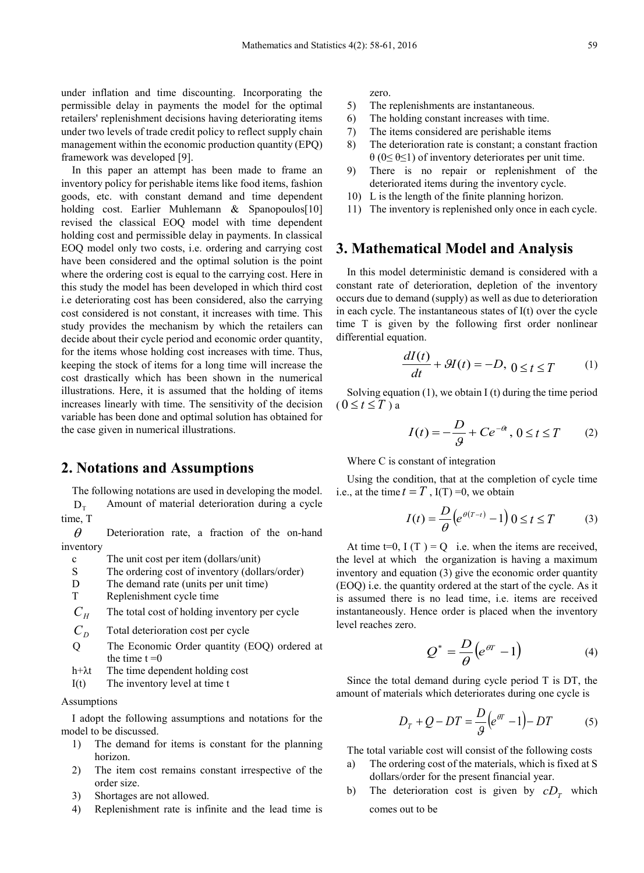under inflation and time discounting. Incorporating the permissible delay in payments the model for the optimal retailers' replenishment decisions having deteriorating items under two levels of trade credit policy to reflect supply chain management within the economic production quantity (EPQ) framework was developed [9].

In this paper an attempt has been made to frame an inventory policy for perishable items like food items, fashion goods, etc. with constant demand and time dependent holding cost. Earlier Muhlemann & Spanopoulos[10] revised the classical EOQ model with time dependent holding cost and permissible delay in payments. In classical EOQ model only two costs, i.e. ordering and carrying cost have been considered and the optimal solution is the point where the ordering cost is equal to the carrying cost. Here in this study the model has been developed in which third cost i.e deteriorating cost has been considered, also the carrying cost considered is not constant, it increases with time. This study provides the mechanism by which the retailers can decide about their cycle period and economic order quantity, for the items whose holding cost increases with time. Thus, keeping the stock of items for a long time will increase the cost drastically which has been shown in the numerical illustrations. Here, it is assumed that the holding of items increases linearly with time. The sensitivity of the decision variable has been done and optimal solution has obtained for the case given in numerical illustrations.

### **2. Notations and Assumptions**

The following notations are used in developing the model.  $D<sub>T</sub>$  Amount of material deterioration during a cycle

 $\theta$  Deterioration rate, a fraction of the on-hand inventory

c The unit cost per item (dollars/unit)

- S The ordering cost of inventory (dollars/order)
- D The demand rate (units per unit time)
- T Replenishment cycle time

 $C_H$  The total cost of holding inventory per cycle

- $C<sub>D</sub>$  Total deterioration cost per cycle
- Q The Economic Order quantity (EOQ) ordered at the time  $t = 0$
- h+λt The time dependent holding cost
- I(t) The inventory level at time t

#### Assumptions

time, T

I adopt the following assumptions and notations for the model to be discussed.

- 1) The demand for items is constant for the planning horizon.
- 2) The item cost remains constant irrespective of the order size.
- 3) Shortages are not allowed.
- 4) Replenishment rate is infinite and the lead time is

zero.

- 5) The replenishments are instantaneous.
- 6) The holding constant increases with time.
- 7) The items considered are perishable items
- 8) The deterioration rate is constant; a constant fraction  $\theta$  (0≤  $\theta$ ≤1) of inventory deteriorates per unit time.
- 9) There is no repair or replenishment of the deteriorated items during the inventory cycle.
- 10) L is the length of the finite planning horizon.
- 11) The inventory is replenished only once in each cycle.

## **3. Mathematical Model and Analysis**

In this model deterministic demand is considered with a constant rate of deterioration, depletion of the inventory occurs due to demand (supply) as well as due to deterioration in each cycle. The instantaneous states of I(t) over the cycle time T is given by the following first order nonlinear differential equation.

$$
\frac{dI(t)}{dt} + \mathcal{H}(t) = -D, \ 0 \le t \le T \tag{1}
$$

Solving equation  $(1)$ , we obtain I  $(t)$  during the time period  $(0 \le t \le T)$  a

$$
I(t) = -\frac{D}{9} + Ce^{-\theta t}, \quad 0 \le t \le T \tag{2}
$$

Where C is constant of integration

Using the condition, that at the completion of cycle time i.e., at the time  $t = T$ , I(T) =0, we obtain

$$
I(t) = \frac{D}{\theta} \left( e^{\theta(T-t)} - 1 \right) 0 \le t \le T \tag{3}
$$

At time  $t=0$ ,  $I(T) = O$  i.e. when the items are received, the level at which the organization is having a maximum inventory and equation (3) give the economic order quantity (EOQ) i.e. the quantity ordered at the start of the cycle. As it is assumed there is no lead time, i.e. items are received instantaneously. Hence order is placed when the inventory level reaches zero.

$$
Q^* = \frac{D}{\theta} \left( e^{\theta T} - 1 \right) \tag{4}
$$

Since the total demand during cycle period T is DT, the amount of materials which deteriorates during one cycle is

$$
D_T + Q - DT = \frac{D}{9} \left( e^{qT} - 1 \right) - DT \tag{5}
$$

The total variable cost will consist of the following costs

- a) The ordering cost of the materials, which is fixed at S dollars/order for the present financial year.
- b) The deterioration cost is given by  $cD<sub>r</sub>$  which comes out to be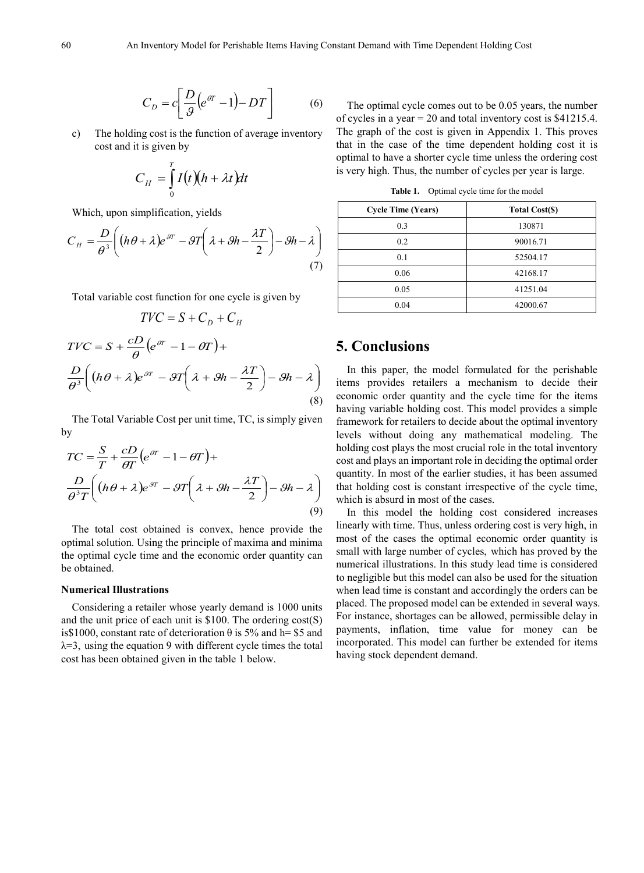$$
C_D = c \left[ \frac{D}{9} \left( e^{or} - 1 \right) - DT \right] \tag{6}
$$

c) The holding cost is the function of average inventory cost and it is given by

$$
C_H = \int_0^T I(t)(h + \lambda t)dt
$$

Which, upon simplification, yields

$$
C_H = \frac{D}{\theta^3} \bigg( (h\theta + \lambda)e^{\theta T} - \theta T \bigg( \lambda + \theta h - \frac{\lambda T}{2} \bigg) - \theta h - \lambda \bigg) \tag{7}
$$

Total variable cost function for one cycle is given by

$$
TVC = S + C_D + C_H
$$
  
\n
$$
TVC = S + \frac{cD}{\theta} (e^{\theta T} - 1 - \theta T) +
$$
  
\n
$$
\frac{D}{\theta^3} \left( (h\theta + \lambda)e^{\theta T} - \theta T \left( \lambda + \theta h - \frac{\lambda T}{2} \right) - \theta h - \lambda \right)
$$
\n(8)

The Total Variable Cost per unit time, TC, is simply given by

$$
TC = \frac{S}{T} + \frac{cD}{\theta T} \left( e^{\theta T} - 1 - \theta T \right) +
$$
  

$$
\frac{D}{\theta^3 T} \left( \left( h \theta + \lambda \right) e^{\theta T} - \theta T \left( \lambda + \theta h - \frac{\lambda T}{2} \right) - \theta h - \lambda \right)
$$
  
(9)

The total cost obtained is convex, hence provide the optimal solution. Using the principle of maxima and minima the optimal cycle time and the economic order quantity can be obtained.

#### **Numerical Illustrations**

Considering a retailer whose yearly demand is 1000 units and the unit price of each unit is \$100. The ordering cost(S) is\$1000, constant rate of deterioration  $\theta$  is 5% and h= \$5 and  $\lambda = 3$ , using the equation 9 with different cycle times the total cost has been obtained given in the table 1 below.

The optimal cycle comes out to be 0.05 years, the number of cycles in a year = 20 and total inventory cost is \$41215.4. The graph of the cost is given in Appendix 1. This proves that in the case of the time dependent holding cost it is optimal to have a shorter cycle time unless the ordering cost is very high. Thus, the number of cycles per year is large.

**Table 1.** Optimal cycle time for the model

| <b>Cycle Time (Years)</b> | <b>Total Cost(\$)</b> |
|---------------------------|-----------------------|
| 0.3                       | 130871                |
| 0.2                       | 90016.71              |
| 0.1                       | 52504.17              |
| 0.06                      | 42168.17              |
| 0.05                      | 41251.04              |
| 0.04                      | 42000.67              |

## **5. Conclusions**

In this paper, the model formulated for the perishable items provides retailers a mechanism to decide their economic order quantity and the cycle time for the items having variable holding cost. This model provides a simple framework for retailers to decide about the optimal inventory levels without doing any mathematical modeling. The holding cost plays the most crucial role in the total inventory cost and plays an important role in deciding the optimal order quantity. In most of the earlier studies, it has been assumed that holding cost is constant irrespective of the cycle time, which is absurd in most of the cases.

In this model the holding cost considered increases linearly with time. Thus, unless ordering cost is very high, in most of the cases the optimal economic order quantity is small with large number of cycles, which has proved by the numerical illustrations. In this study lead time is considered to negligible but this model can also be used for the situation when lead time is constant and accordingly the orders can be placed. The proposed model can be extended in several ways. For instance, shortages can be allowed, permissible delay in payments, inflation, time value for money can be incorporated. This model can further be extended for items having stock dependent demand.